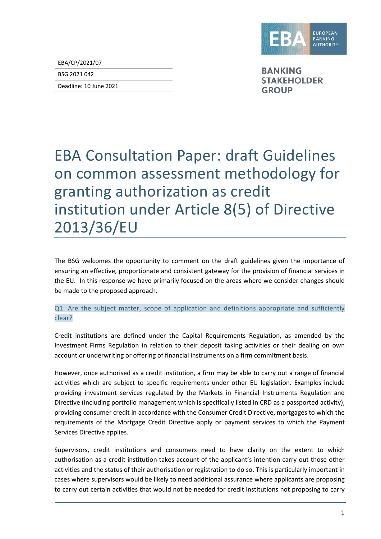

EBA/CP/2021/07

BSG 2021 042

Deadline: 10 June 2021

**BANKING STAKEHOLDER GROUP** 

## EBA Consultation Paper: draft Guidelines on common assessment methodology for granting authorization as credit institution under Article 8(5) of Directive 2013/36/EU

The BSG welcomes the opportunity to comment on the draft guidelines given the importance of ensuring an effective, proportionate and consistent gateway for the provision of financial services in the EU. In this response we have primarily focused on the areas where we consider changes should be made to the proposed approach.

## Q1. Are the subject matter, scope of application and definitions appropriate and sufficiently clear?

Credit institutions are defined under the Capital Requirements Regulation, as amended by the Investment Firms Regulation in relation to their deposit taking activities or their dealing on own account or underwriting or offering of financial instruments on a firm commitment basis.

However, once authorised as a credit institution, a firm may be able to carry out a range of financial activities which are subject to specific requirements under other EU legislation. Examples include providing investment services regulated by the Markets in Financial Instruments Regulation and Directive (including portfolio management which is specifically listed in CRD as a passported activity), providing consumer credit in accordance with the Consumer Credit Directive, mortgages to which the requirements of the Mortgage Credit Directive apply or payment services to which the Payment Services Directive applies.

Supervisors, credit institutions and consumers need to have clarity on the extent to which authorisation as a credit institution takes account of the applicant's intention carry out those other activities and the status of their authorisation or registration to do so. This is particularly important in cases where supervisors would be likely to need additional assurance where applicants are proposing to carry out certain activities that would not be needed for credit institutions not proposing to carry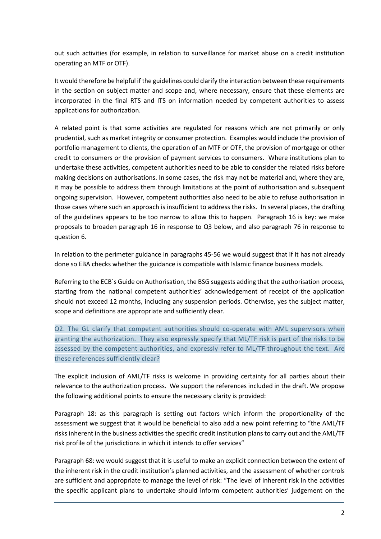out such activities (for example, in relation to surveillance for market abuse on a credit institution operating an MTF or OTF).

It would therefore be helpful if the guidelines could clarify the interaction between these requirements in the section on subject matter and scope and, where necessary, ensure that these elements are incorporated in the final RTS and ITS on information needed by competent authorities to assess applications for authorization.

A related point is that some activities are regulated for reasons which are not primarily or only prudential, such as market integrity or consumer protection. Examples would include the provision of portfolio management to clients, the operation of an MTF or OTF, the provision of mortgage or other credit to consumers or the provision of payment services to consumers. Where institutions plan to undertake these activities, competent authorities need to be able to consider the related risks before making decisions on authorisations. In some cases, the risk may not be material and, where they are, it may be possible to address them through limitations at the point of authorisation and subsequent ongoing supervision. However, competent authorities also need to be able to refuse authorisation in those cases where such an approach is insufficient to address the risks. In several places, the drafting of the guidelines appears to be too narrow to allow this to happen. Paragraph 16 is key: we make proposals to broaden paragraph 16 in response to Q3 below, and also paragraph 76 in response to question 6.

In relation to the perimeter guidance in paragraphs 45-56 we would suggest that if it has not already done so EBA checks whether the guidance is compatible with Islamic finance business models.

Referring to the ECB`s Guide on Authorisation, the BSG suggests adding that the authorisation process, starting from the national competent authorities' acknowledgement of receipt of the application should not exceed 12 months, including any suspension periods. Otherwise, yes the subject matter, scope and definitions are appropriate and sufficiently clear.

Q2. The GL clarify that competent authorities should co-operate with AML supervisors when granting the authorization. They also expressly specify that ML/TF risk is part of the risks to be assessed by the competent authorities, and expressly refer to ML/TF throughout the text. Are these references sufficiently clear?

The explicit inclusion of AML/TF risks is welcome in providing certainty for all parties about their relevance to the authorization process. We support the references included in the draft. We propose the following additional points to ensure the necessary clarity is provided:

Paragraph 18: as this paragraph is setting out factors which inform the proportionality of the assessment we suggest that it would be beneficial to also add a new point referring to "the AML/TF risks inherent in the business activities the specific credit institution plans to carry out and the AML/TF risk profile of the jurisdictions in which it intends to offer services"

Paragraph 68: we would suggest that it is useful to make an explicit connection between the extent of the inherent risk in the credit institution's planned activities, and the assessment of whether controls are sufficient and appropriate to manage the level of risk: "The level of inherent risk in the activities the specific applicant plans to undertake should inform competent authorities' judgement on the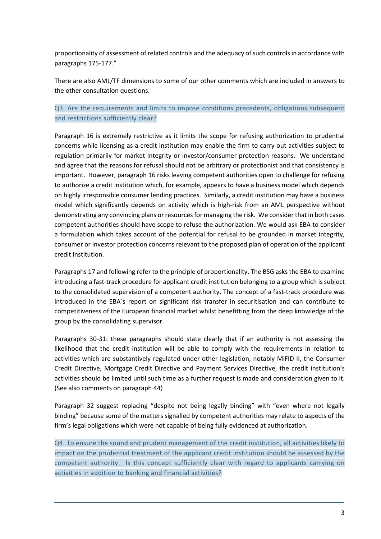proportionality of assessment of related controls and the adequacy of such controls in accordance with paragraphs 175-177."

There are also AML/TF dimensions to some of our other comments which are included in answers to the other consultation questions.

Q3. Are the requirements and limits to impose conditions precedents, obligations subsequent and restrictions sufficiently clear?

Paragraph 16 is extremely restrictive as it limits the scope for refusing authorization to prudential concerns while licensing as a credit institution may enable the firm to carry out activities subject to regulation primarily for market integrity or investor/consumer protection reasons. We understand and agree that the reasons for refusal should not be arbitrary or protectionist and that consistency is important. However, paragraph 16 risks leaving competent authorities open to challenge for refusing to authorize a credit institution which, for example, appears to have a business model which depends on highly irresponsible consumer lending practices. Similarly, a credit institution may have a business model which significantly depends on activity which is high-risk from an AML perspective without demonstrating any convincing plans or resources for managing the risk. We consider that in both cases competent authorities should have scope to refuse the authorization. We would ask EBA to consider a formulation which takes account of the potential for refusal to be grounded in market integrity, consumer or investor protection concerns relevant to the proposed plan of operation of the applicant credit institution.

Paragraphs 17 and following refer to the principle of proportionality. The BSG asks the EBA to examine introducing a fast-track procedure for applicant credit institution belonging to a group which is subject to the consolidated supervision of a competent authority. The concept of a fast-track procedure was introduced in the EBA`s report on significant risk transfer in securitisation and can contribute to competitiveness of the European financial market whilst benefitting from the deep knowledge of the group by the consolidating supervisor.

Paragraphs 30-31: these paragraphs should state clearly that if an authority is not assessing the likelihood that the credit institution will be able to comply with the requirements in relation to activities which are substantively regulated under other legislation, notably MiFID II, the Consumer Credit Directive, Mortgage Credit Directive and Payment Services Directive, the credit institution's activities should be limited until such time as a further request is made and consideration given to it. (See also comments on paragraph 44)

Paragraph 32 suggest replacing "despite not being legally binding" with "even where not legally binding" because some of the matters signalled by competent authorities may relate to aspects of the firm's legal obligations which were not capable of being fully evidenced at authorization.

Q4. To ensure the sound and prudent management of the credit institution, all activities likely to impact on the prudential treatment of the applicant credit institution should be assessed by the competent authority. Is this concept sufficiently clear with regard to applicants carrying on activities in addition to banking and financial activities?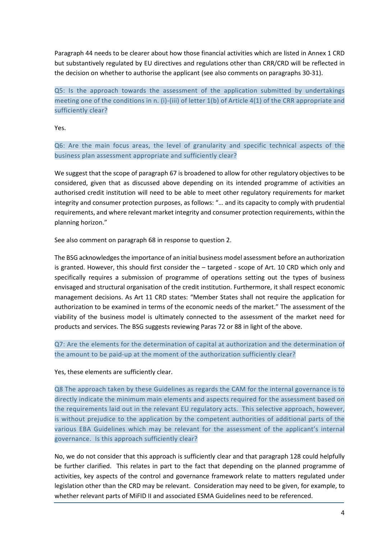Paragraph 44 needs to be clearer about how those financial activities which are listed in Annex 1 CRD but substantively regulated by EU directives and regulations other than CRR/CRD will be reflected in the decision on whether to authorise the applicant (see also comments on paragraphs 30-31).

Q5: Is the approach towards the assessment of the application submitted by undertakings meeting one of the conditions in n. (i)-(iii) of letter 1(b) of Article 4(1) of the CRR appropriate and sufficiently clear?

Yes.

Q6: Are the main focus areas, the level of granularity and specific technical aspects of the business plan assessment appropriate and sufficiently clear?

We suggest that the scope of paragraph 67 is broadened to allow for other regulatory objectives to be considered, given that as discussed above depending on its intended programme of activities an authorised credit institution will need to be able to meet other regulatory requirements for market integrity and consumer protection purposes, as follows: "… and its capacity to comply with prudential requirements, and where relevant market integrity and consumer protection requirements, within the planning horizon."

See also comment on paragraph 68 in response to question 2.

The BSG acknowledges the importance of an initial business model assessment before an authorization is granted. However, this should first consider the – targeted - scope of Art. 10 CRD which only and specifically requires a submission of programme of operations setting out the types of business envisaged and structural organisation of the credit institution. Furthermore, it shall respect economic management decisions. As Art 11 CRD states: "Member States shall not require the application for authorization to be examined in terms of the economic needs of the market." The assessment of the viability of the business model is ultimately connected to the assessment of the market need for products and services. The BSG suggests reviewing Paras 72 or 88 in light of the above.

Q7: Are the elements for the determination of capital at authorization and the determination of the amount to be paid-up at the moment of the authorization sufficiently clear?

Yes, these elements are sufficiently clear.

Q8 The approach taken by these Guidelines as regards the CAM for the internal governance is to directly indicate the minimum main elements and aspects required for the assessment based on the requirements laid out in the relevant EU regulatory acts. This selective approach, however, is without prejudice to the application by the competent authorities of additional parts of the various EBA Guidelines which may be relevant for the assessment of the applicant's internal governance. Is this approach sufficiently clear?

No, we do not consider that this approach is sufficiently clear and that paragraph 128 could helpfully be further clarified. This relates in part to the fact that depending on the planned programme of activities, key aspects of the control and governance framework relate to matters regulated under legislation other than the CRD may be relevant. Consideration may need to be given, for example, to whether relevant parts of MiFID II and associated ESMA Guidelines need to be referenced.